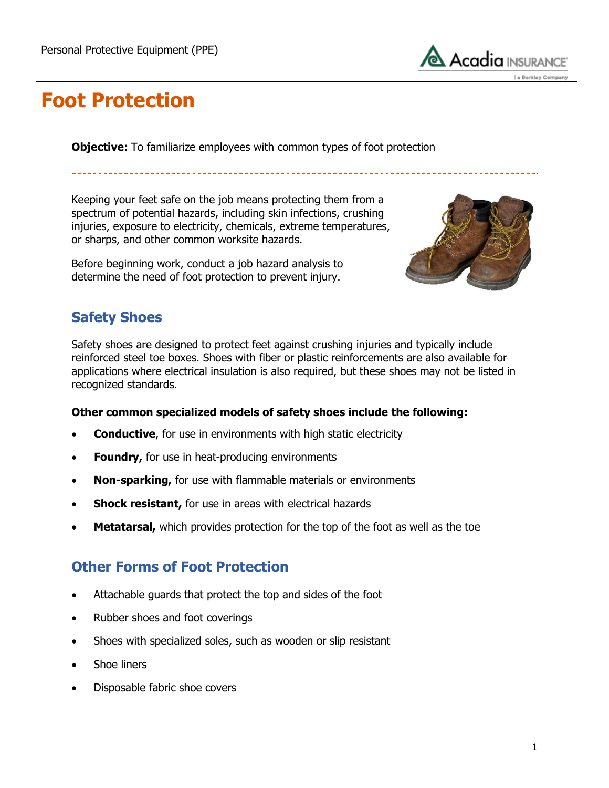

## **Foot Protection**

**Objective:** To familiarize employees with common types of foot protection

Keeping your feet safe on the job means protecting them from a spectrum of potential hazards, including skin infections, crushing injuries, exposure to electricity, chemicals, extreme temperatures, or sharps, and other common worksite hazards.

Before beginning work, conduct a job hazard analysis to determine the need of foot protection to prevent injury.



## **Safety Shoes**

Safety shoes are designed to protect feet against crushing injuries and typically include reinforced steel toe boxes. Shoes with fiber or plastic reinforcements are also available for applications where electrical insulation is also required, but these shoes may not be listed in recognized standards.

#### **Other common specialized models of safety shoes include the following:**

- **Conductive**, for use in environments with high static electricity
- **Foundry,** for use in heat-producing environments
- **Non-sparking,** for use with flammable materials or environments
- **Shock resistant,** for use in areas with electrical hazards
- **Metatarsal,** which provides protection for the top of the foot as well as the toe

### **Other Forms of Foot Protection**

- Attachable guards that protect the top and sides of the foot
- Rubber shoes and foot coverings
- Shoes with specialized soles, such as wooden or slip resistant
- Shoe liners
- Disposable fabric shoe covers